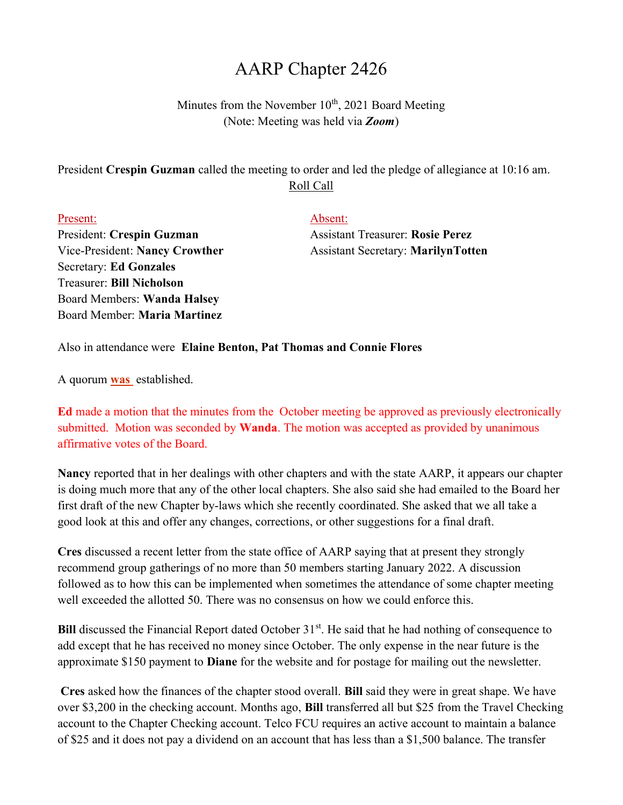## AARP Chapter 2426

Minutes from the November  $10<sup>th</sup>$ , 2021 Board Meeting (Note: Meeting was held via Zoom)

President Crespin Guzman called the meeting to order and led the pledge of allegiance at 10:16 am. Roll Call

Present: Absent: President: Crespin Guzman Assistant Treasurer: Rosie Perez Secretary: Ed Gonzales Treasurer: Bill Nicholson Board Members: Wanda Halsey Board Member: Maria Martinez

Vice-President: Nancy Crowther Assistant Secretary: MarilynTotten

Also in attendance were Elaine Benton, Pat Thomas and Connie Flores

A quorum **was** established.

Ed made a motion that the minutes from the October meeting be approved as previously electronically submitted. Motion was seconded by **Wanda**. The motion was accepted as provided by unanimous affirmative votes of the Board.

Nancy reported that in her dealings with other chapters and with the state AARP, it appears our chapter is doing much more that any of the other local chapters. She also said she had emailed to the Board her first draft of the new Chapter by-laws which she recently coordinated. She asked that we all take a good look at this and offer any changes, corrections, or other suggestions for a final draft.

Cres discussed a recent letter from the state office of AARP saying that at present they strongly recommend group gatherings of no more than 50 members starting January 2022. A discussion followed as to how this can be implemented when sometimes the attendance of some chapter meeting well exceeded the allotted 50. There was no consensus on how we could enforce this.

Bill discussed the Financial Report dated October 31<sup>st</sup>. He said that he had nothing of consequence to add except that he has received no money since October. The only expense in the near future is the approximate \$150 payment to Diane for the website and for postage for mailing out the newsletter.

Cres asked how the finances of the chapter stood overall. Bill said they were in great shape. We have over \$3,200 in the checking account. Months ago, **Bill** transferred all but \$25 from the Travel Checking account to the Chapter Checking account. Telco FCU requires an active account to maintain a balance of \$25 and it does not pay a dividend on an account that has less than a \$1,500 balance. The transfer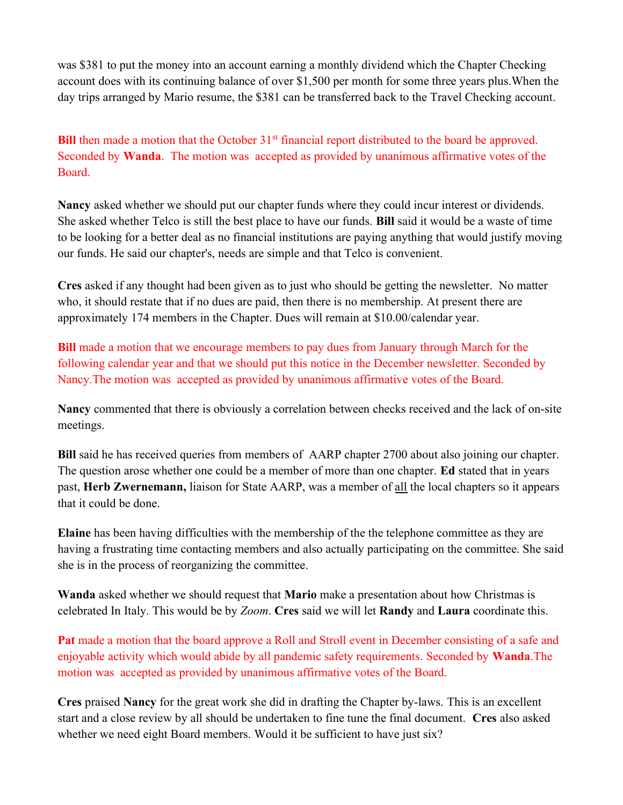was \$381 to put the money into an account earning a monthly dividend which the Chapter Checking account does with its continuing balance of over \$1,500 per month for some three years plus.When the day trips arranged by Mario resume, the \$381 can be transferred back to the Travel Checking account.

Bill then made a motion that the October  $31<sup>st</sup>$  financial report distributed to the board be approved. Seconded by Wanda. The motion was accepted as provided by unanimous affirmative votes of the Board.

Nancy asked whether we should put our chapter funds where they could incur interest or dividends. She asked whether Telco is still the best place to have our funds. Bill said it would be a waste of time to be looking for a better deal as no financial institutions are paying anything that would justify moving our funds. He said our chapter's, needs are simple and that Telco is convenient.

Cres asked if any thought had been given as to just who should be getting the newsletter. No matter who, it should restate that if no dues are paid, then there is no membership. At present there are approximately 174 members in the Chapter. Dues will remain at \$10.00/calendar year.

Bill made a motion that we encourage members to pay dues from January through March for the following calendar year and that we should put this notice in the December newsletter. Seconded by Nancy.The motion was accepted as provided by unanimous affirmative votes of the Board.

Nancy commented that there is obviously a correlation between checks received and the lack of on-site meetings.

Bill said he has received queries from members of AARP chapter 2700 about also joining our chapter. The question arose whether one could be a member of more than one chapter. Ed stated that in years past, Herb Zwernemann, liaison for State AARP, was a member of all the local chapters so it appears that it could be done.

Elaine has been having difficulties with the membership of the the telephone committee as they are having a frustrating time contacting members and also actually participating on the committee. She said she is in the process of reorganizing the committee.

Wanda asked whether we should request that Mario make a presentation about how Christmas is celebrated In Italy. This would be by Zoom. Cres said we will let Randy and Laura coordinate this.

Pat made a motion that the board approve a Roll and Stroll event in December consisting of a safe and enjoyable activity which would abide by all pandemic safety requirements. Seconded by **Wanda**. The motion was accepted as provided by unanimous affirmative votes of the Board.

Cres praised Nancy for the great work she did in drafting the Chapter by-laws. This is an excellent start and a close review by all should be undertaken to fine tune the final document. Cres also asked whether we need eight Board members. Would it be sufficient to have just six?